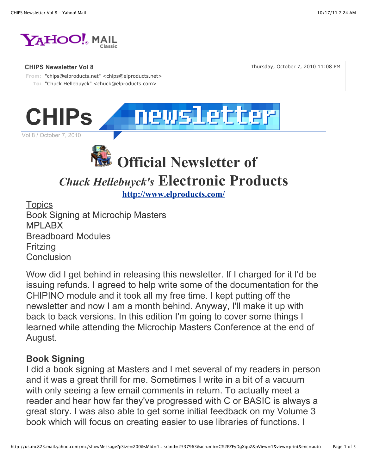

**CHIPS Newsletter Vol 8** Thursday, October 7, 2010 11:08 PM

**From:** "chips@elproducts.net" <chips@elproducts.net> **To:** "Chuck Hellebuyck" <chuck@elproducts.com>



Vol 8 / October 7, 2010



# *Chuck Hellebuyck's* **Electronic Products**

**http://www.elproducts.com/**

**Topics** Book Signing at Microchip Masters MPLABX Breadboard Modules Fritzing **Conclusion** 

Wow did I get behind in releasing this newsletter. If I charged for it I'd be issuing refunds. I agreed to help write some of the documentation for the CHIPINO module and it took all my free time. I kept putting off the newsletter and now I am a month behind. Anyway, I'll make it up with back to back versions. In this edition I'm going to cover some things I learned while attending the Microchip Masters Conference at the end of August.

#### **Book Signing**

I did a book signing at Masters and I met several of my readers in person and it was a great thrill for me. Sometimes I write in a bit of a vacuum with only seeing a few email comments in return. To actually meet a reader and hear how far they've progressed with C or BASIC is always a great story. I was also able to get some initial feedback on my Volume 3 book which will focus on creating easier to use libraries of functions. I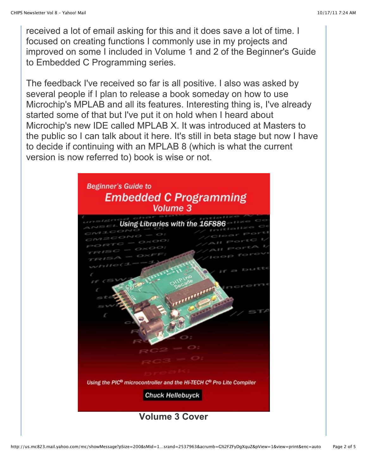received a lot of email asking for this and it does save a lot of time. I focused on creating functions I commonly use in my projects and improved on some I included in Volume 1 and 2 of the Beginner's Guide to Embedded C Programming series.

The feedback I've received so far is all positive. I also was asked by several people if I plan to release a book someday on how to use Microchip's MPLAB and all its features. Interesting thing is, I've already started some of that but I've put it on hold when I heard about Microchip's new IDE called MPLAB X. It was introduced at Masters to the public so I can talk about it here. It's still in beta stage but now I have to decide if continuing with an MPLAB 8 (which is what the current version is now referred to) book is wise or not.

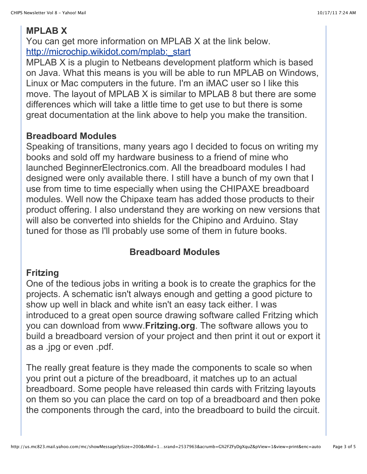## **MPLAB X**

You can get more information on MPLAB X at the link below. http://microchip.wikidot.com/mplab:\_start

MPLAB X is a plugin to Netbeans development platform which is based on Java. What this means is you will be able to run MPLAB on Windows, Linux or Mac computers in the future. I'm an iMAC user so I like this move. The layout of MPLAB X is similar to MPLAB 8 but there are some differences which will take a little time to get use to but there is some great documentation at the link above to help you make the transition.

#### **Breadboard Modules**

Speaking of transitions, many years ago I decided to focus on writing my books and sold off my hardware business to a friend of mine who launched BeginnerElectronics.com. All the breadboard modules I had designed were only available there. I still have a bunch of my own that I use from time to time especially when using the CHIPAXE breadboard modules. Well now the Chipaxe team has added those products to their product offering. I also understand they are working on new versions that will also be converted into shields for the Chipino and Arduino. Stay tuned for those as I'll probably use some of them in future books.

### **Breadboard Modules**

#### **Fritzing**

One of the tedious jobs in writing a book is to create the graphics for the projects. A schematic isn't always enough and getting a good picture to show up well in black and white isn't an easy tack either. I was introduced to a great open source drawing software called Fritzing which you can download from www.**Fritzing.org**. The software allows you to build a breadboard version of your project and then print it out or export it as a .jpg or even .pdf.

The really great feature is they made the components to scale so when you print out a picture of the breadboard, it matches up to an actual breadboard. Some people have released thin cards with Fritzing layouts on them so you can place the card on top of a breadboard and then poke the components through the card, into the breadboard to build the circuit.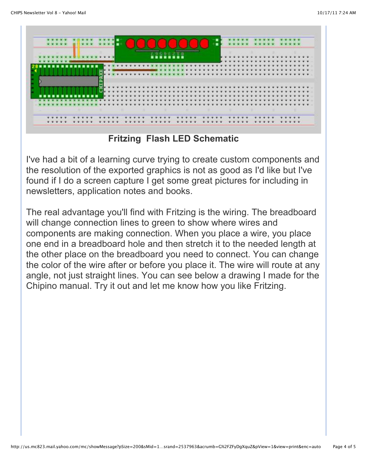

**Fritzing Flash LED Schematic**

I've had a bit of a learning curve trying to create custom components and the resolution of the exported graphics is not as good as I'd like but I've found if I do a screen capture I get some great pictures for including in newsletters, application notes and books.

The real advantage you'll find with Fritzing is the wiring. The breadboard will change connection lines to green to show where wires and components are making connection. When you place a wire, you place one end in a breadboard hole and then stretch it to the needed length at the other place on the breadboard you need to connect. You can change the color of the wire after or before you place it. The wire will route at any angle, not just straight lines. You can see below a drawing I made for the Chipino manual. Try it out and let me know how you like Fritzing.